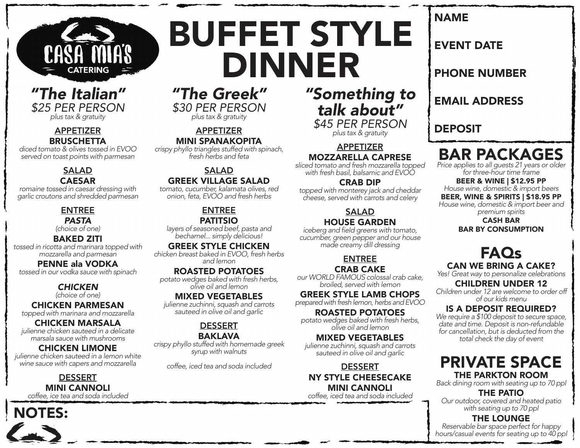

### *"The Italian" \$25 PER PERSON plus tax & gratuity*

#### APPETIZER **BRUSCHETTA**

*diced tomato & olives tossed in EVOO served on toast points with parmesan*

#### SALAD CAESAR

*romaine tossed in caesar dressing with garlic croutons and shredded parmesan*

#### ENTREE *PASTA*

*(choice of one)*

#### BAKED ZITI

*tossed in ricotta and marinara topped with mozzarella and parmesan*

PENNE ala VODKA *tossed in our vodka sauce with spinach*

## *CHICKEN*

*(choice of one)*

CHICKEN PARMESAN *topped with marinara and mozzarella*

CHICKEN MARSALA *julienne chicken sauteed in a delicate marsala sauce with mushrooms*

#### CHICKEN LIMONE

*julienne chicken sauteed in a lemon white wine sauce with capers and mozzarella*

### DESSERT MINI CANNOLI

*coffee, ice tea and soda included*



*"The Greek" \$30 PER PERSON plus tax & gratuity*

BUFFET STYLE

DINNER

APPETIZER MINI SPANAKOPITA

*crispy phyllo triangles stuffed with spinach, fresh herbs and feta*

#### SALAD GREEK VILLAGE SALAD

*tomato, cucumber, kalamata olives, red onion, feta, EVOO and fresh herbs*

#### ENTREE PATITSIO

*layers of seasoned beef, pasta and bechamel... simply delicious!*

#### GREEK STYLE CHICKEN

*chicken breast baked in EVOO, fresh herbs and lemon*

#### ROASTED POTATOES

*potato wedges baked with fresh herbs, olive oil and lemon*

#### MIXED VEGETABLES

*julienne zuchinni, squash and carrots sauteed in olive oil and garlic*

## DESSERT

BAKLAVA

*crispy phyllo stuffed with homemade greek syrup with walnuts*

*coffee, iced tea and soda included*

## *"Something to talk about" \$45 PER PERSON plus tax & gratuity*

APPETIZER

### MOZZARELLA CAPRESE

*sliced tomato and fresh mozzarella topped with fresh basil, balsamic and EVOO*

#### CRAB DIP

*topped with monterey jack and cheddar cheese, served with carrots and celery*

#### **SALAD** HOUSE GARDEN

iceberg and field greens with tomato, *cucumber, green pepper and our house made creamy dill dressing*

## ENTREE

#### CRAB CAKE

*our WORLD FAMOUS colossal crab cake, broiled, served with lemon*

#### GREEK STYLE LAMB CHOPS

*prepared with fresh lemon, herbs and EVOO*

#### ROASTED POTATOES

*potato wedges baked with fresh herbs, olive oil and lemon*

#### MIXED VEGETABLES *julienne zuchinni, squash and carrots*

*sauteed in olive oil and garlic* **DESSERT** 

## NY STYLE CHEESECAKE MINI CANNOLI

*coffee, iced tea and soda included*

## NAME

## EVENT DATE

PHONE NUMBER

## EMAIL ADDRESS

## DEPOSIT

## BAR PACKAGES

*Price applies to all guests 21 years or older for three-hour time frame*

## BEER & WINE | \$12.95 PP *House wine, domestic & import beers*

#### BEER, WINE & SPIRITS | \$18.95 PP *House wine, domestic & import beer and*

*premium spirits*

#### CASH BAR BAR BY CONSUMPTION

## FAQs CAN WE BRING A CAKE?

*Yes! Great way to personalize celebrations*

#### CHILDREN UNDER 12

*Children under 12 are welcome to order off of our kids menu*

### IS A DEPOSIT REQUIRED?

*We require a \$100 deposit to secure space, date and time. Deposit is non-refundable for cancellation, but is deducted from the total check the day of event*

## PRIVATE SPACE THE PARKTON ROOM

*Back dining room with seating up to 70 ppl*

THE PATIO

*Our outdoor, covered and heated patio with seating up to 70 ppl*

### THE LOUNGE

*Reservable bar space perfect for happy hours/casual events for seating up to 40 ppl*